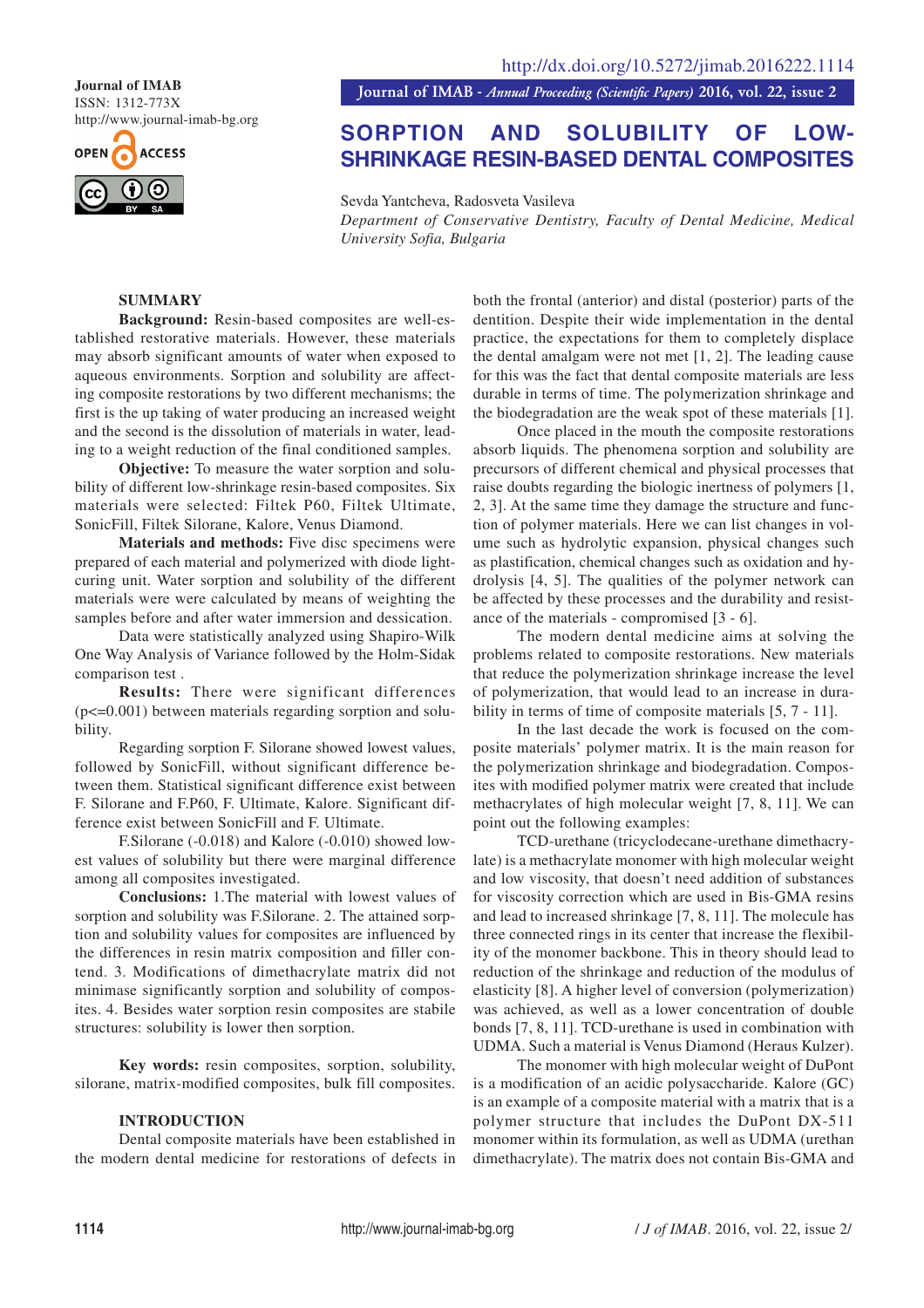ISSN: 1312-773X http://www.journal-imab-bg.org



**Journal of IMAB**<br>**Journal of IMAB** - *Annual Proceeding (Scientific Papers)* 2016, vol. 22, issue 2

# **SORPTION AND SOLUBILITY OF LOW-SHRINKAGE RESIN-BASED DENTAL COMPOSITES**

Sevda Yantcheva, Radosveta Vasileva *Department of Conservative Dentistry, Faculty of Dental Medicine, Medical University Sofia, Bulgaria*

## **SUMMARY**

**Background:** Resin-based composites are well-established restorative materials. However, these materials may absorb significant amounts of water when exposed to aqueous environments. Sorption and solubility are affecting composite restorations by two different mechanisms; the first is the up taking of water producing an increased weight and the second is the dissolution of materials in water, leading to a weight reduction of the final conditioned samples.

**Objective:** To measure the water sorption and solubility of different low-shrinkage resin-based composites. Six materials were selected: Filtek P60, Filtek Ultimate, SonicFill, Filtek Silorane, Kalore, Venus Diamond.

**Materials and methods:** Five disc specimens were prepared of each material and polymerized with diode lightcuring unit. Water sorption and solubility of the different materials were were calculated by means of weighting the samples before and after water immersion and dessication.

Data were statistically analyzed using Shapiro-Wilk One Way Analysis of Variance followed by the Holm-Sidak comparison test .

**Results:** There were significant differences (p<=0.001) between materials regarding sorption and solubility.

Regarding sorption F. Silorane showed lowest values, followed by SonicFill, without significant difference between them. Statistical significant difference exist between F. Silorane and F.P60, F. Ultimate, Kalore. Significant difference exist between SonicFill and F. Ultimate.

F.Silorane (-0.018) and Kalore (-0.010) showed lowest values of solubility but there were marginal difference among all composites investigated.

**Conclusions:** 1.The material with lowest values of sorption and solubility was F.Silorane. 2. The attained sorption and solubility values for composites are influenced by the differences in resin matrix composition and filler contend. 3. Modifications of dimethacrylate matrix did not minimase significantly sorption and solubility of composites. 4. Besides water sorption resin composites are stabile structures: solubility is lower then sorption.

**Key words:** resin composites, sorption, solubility, silorane, matrix-modified composites, bulk fill composites.

### **INTRODUCTION**

Dental composite materials have been established in the modern dental medicine for restorations of defects in both the frontal (anterior) and distal (posterior) parts of the dentition. Despite their wide implementation in the dental practice, the expectations for them to completely displace the dental amalgam were not met [1, 2]. The leading cause for this was the fact that dental composite materials are less durable in terms of time. The polymerization shrinkage and the biodegradation are the weak spot of these materials [1].

Once placed in the mouth the composite restorations absorb liquids. The phenomena sorption and solubility are precursors of different chemical and physical processes that raise doubts regarding the biologic inertness of polymers [1, 2, 3]. At the same time they damage the structure and function of polymer materials. Here we can list changes in volume such as hydrolytic expansion, physical changes such as plastification, chemical changes such as oxidation and hydrolysis [4, 5]. The qualities of the polymer network can be affected by these processes and the durability and resistance of the materials - compromised [3 - 6].

The modern dental medicine aims at solving the problems related to composite restorations. New materials that reduce the polymerization shrinkage increase the level of polymerization, that would lead to an increase in durability in terms of time of composite materials [5, 7 - 11].

In the last decade the work is focused on the composite materials' polymer matrix. It is the main reason for the polymerization shrinkage and biodegradation. Composites with modified polymer matrix were created that include methacrylates of high molecular weight [7, 8, 11]. We can point out the following examples:

TCD-urethane (tricyclodecane-urethane dimethacrylate) is a methacrylate monomer with high molecular weight and low viscosity, that doesn't need addition of substances for viscosity correction which are used in Bis-GMA resins and lead to increased shrinkage [7, 8, 11]. The molecule has three connected rings in its center that increase the flexibility of the monomer backbone. This in theory should lead to reduction of the shrinkage and reduction of the modulus of elasticity [8]. A higher level of conversion (polymerization) was achieved, as well as a lower concentration of double bonds [7, 8, 11]. TCD-urethane is used in combination with UDMA. Such a material is Venus Diamond (Heraus Kulzer).

The monomer with high molecular weight of DuPont is a modification of an acidic polysaccharide. Kalore (GC) is an example of a composite material with a matrix that is a polymer structure that includes the DuPont DX-511 monomer within its formulation, as well as UDMA (urethan dimethacrylate). The matrix does not contain Bis-GMA and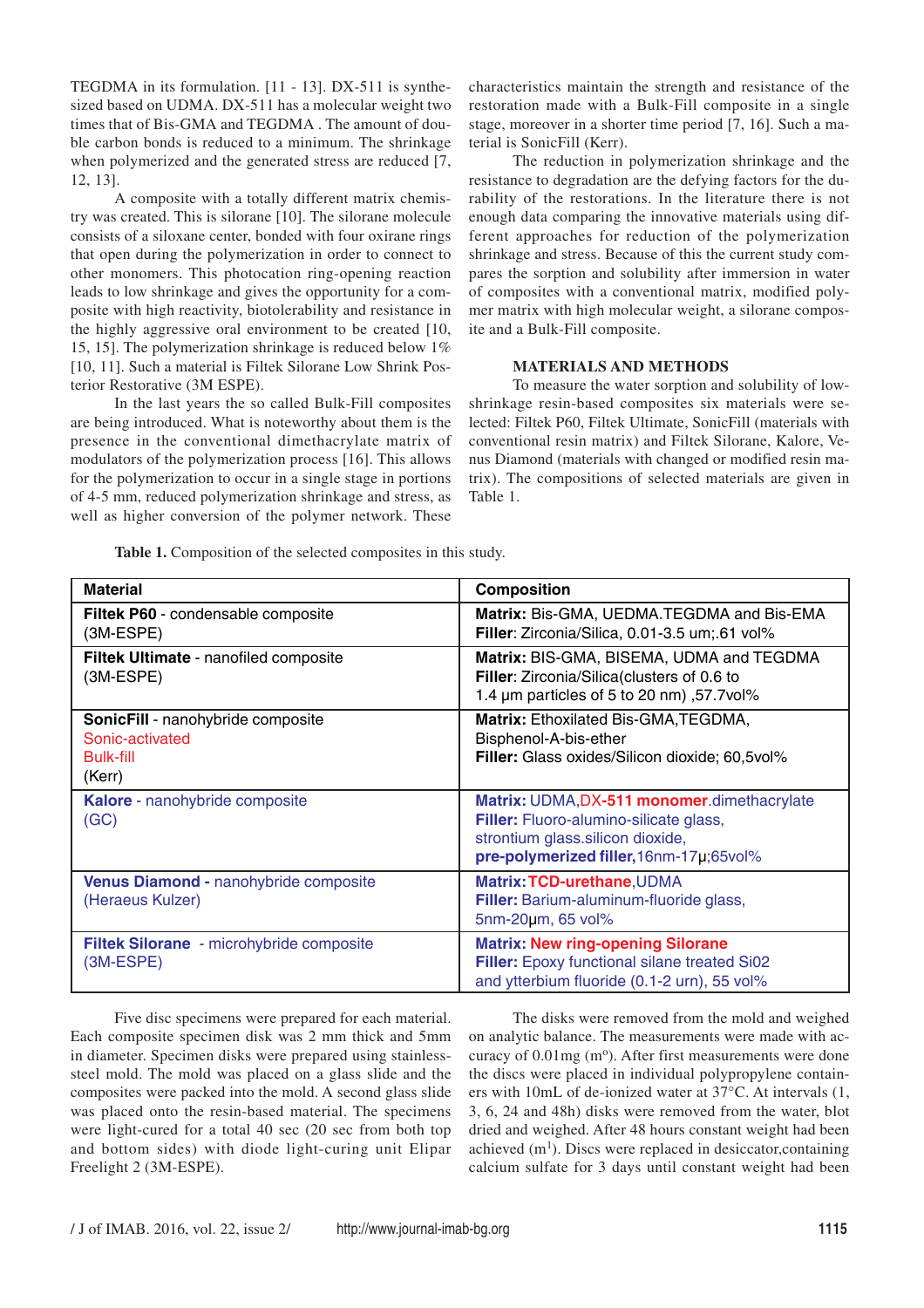TEGDMA in its formulation. [11 - 13]. DX-511 is synthesized based on UDMA. DX-511 has a molecular weight two times that of Bis-GMA and TEGDMA . The amount of double carbon bonds is reduced to a minimum. The shrinkage when polymerized and the generated stress are reduced [7, 12, 13].

A composite with a totally different matrix chemistry was created. This is silorane [10]. The silorane molecule consists of a siloxane center, bonded with four oxirane rings that open during the polymerization in order to connect to other monomers. This photocation ring-opening reaction leads to low shrinkage and gives the opportunity for a composite with high reactivity, biotolerability and resistance in the highly aggressive oral environment to be created [10, 15, 15]. The polymerization shrinkage is reduced below 1% [10, 11]. Such a material is Filtek Silorane Low Shrink Posterior Restorative (3M ESPE).

In the last years the so called Bulk-Fill composites are being introduced. What is noteworthy about them is the presence in the conventional dimethacrylate matrix of modulators of the polymerization process [16]. This allows for the polymerization to occur in a single stage in portions of 4-5 mm, reduced polymerization shrinkage and stress, as well as higher conversion of the polymer network. These characteristics maintain the strength and resistance of the restoration made with a Bulk-Fill composite in a single stage, moreover in a shorter time period [7, 16]. Such a material is SonicFill (Kerr).

The reduction in polymerization shrinkage and the resistance to degradation are the defying factors for the durability of the restorations. In the literature there is not enough data comparing the innovative materials using different approaches for reduction of the polymerization shrinkage and stress. Because of this the current study compares the sorption and solubility after immersion in water of composites with a conventional matrix, modified polymer matrix with high molecular weight, a silorane composite and a Bulk-Fill composite.

### **MATERIALS AND METHODS**

To measure the water sorption and solubility of lowshrinkage resin-based composites six materials were selected: Filtek P60, Filtek Ultimate, SonicFill (materials with conventional resin matrix) and Filtek Silorane, Kalore, Venus Diamond (materials with changed or modified resin matrix). The compositions of selected materials are given in Table 1.

|  |  |  |  |  |  | Table 1. Composition of the selected composites in this study. |  |  |  |
|--|--|--|--|--|--|----------------------------------------------------------------|--|--|--|
|--|--|--|--|--|--|----------------------------------------------------------------|--|--|--|

| <b>Material</b>                                                                           | <b>Composition</b>                                                                                                                                                   |
|-------------------------------------------------------------------------------------------|----------------------------------------------------------------------------------------------------------------------------------------------------------------------|
| Filtek P60 - condensable composite<br>(3M-ESPE)                                           | Matrix: Bis-GMA, UEDMA.TEGDMA and Bis-EMA<br>Filler: Zirconia/Silica, 0.01-3.5 um; 61 vol%                                                                           |
| <b>Filtek Ultimate</b> - nanofiled composite<br>(3M-ESPE)                                 | Matrix: BIS-GMA, BISEMA, UDMA and TEGDMA<br>Filler: Zirconia/Silica(clusters of 0.6 to<br>1.4 µm particles of 5 to 20 nm), 57.7 vol%                                 |
| <b>SonicFill</b> - nanohybride composite<br>Sonic-activated<br><b>Bulk-fill</b><br>(Kerr) | <b>Matrix: Ethoxilated Bis-GMA, TEGDMA,</b><br>Bisphenol-A-bis-ether<br>Filler: Glass oxides/Silicon dioxide; 60,5vol%                                               |
| Kalore - nanohybride composite<br>(GC)                                                    | Matrix: UDMA, DX-511 monomer.dimethacrylate<br>Filler: Fluoro-alumino-silicate glass,<br>strontium glass.silicon dioxide,<br>pre-polymerized filler, 16nm-17µ;65vol% |
| Venus Diamond - nanohybride composite<br>(Heraeus Kulzer)                                 | Matrix: TCD-urethane, UDMA<br>Filler: Barium-aluminum-fluoride glass,<br>5nm-20um, 65 vol%                                                                           |
| Filtek Silorane - microhybride composite<br>(3M-ESPE)                                     | <b>Matrix: New ring-opening Silorane</b><br>Filler: Epoxy functional silane treated Si02<br>and ytterbium fluoride (0.1-2 urn), 55 vol%                              |

Five disc specimens were prepared for each material. Each composite specimen disk was 2 mm thick and 5mm in diameter. Specimen disks were prepared using stainlesssteel mold. The mold was placed on a glass slide and the composites were packed into the mold. A second glass slide was placed onto the resin-based material. The specimens were light-cured for a total 40 sec (20 sec from both top and bottom sides) with diode light-curing unit Elipar Freelight 2 (3M-ESPE).

The disks were removed from the mold and weighed on analytic balance. The measurements were made with accuracy of  $0.01$ mg (m<sup>o</sup>). After first measurements were done the discs were placed in individual polypropylene containers with 10mL of de-ionized water at 37°C. At intervals (1, 3, 6, 24 and 48h) disks were removed from the water, blot dried and weighed. After 48 hours constant weight had been achieved  $(m<sup>1</sup>)$ . Discs were replaced in desiccator, containing calcium sulfate for 3 days until constant weight had been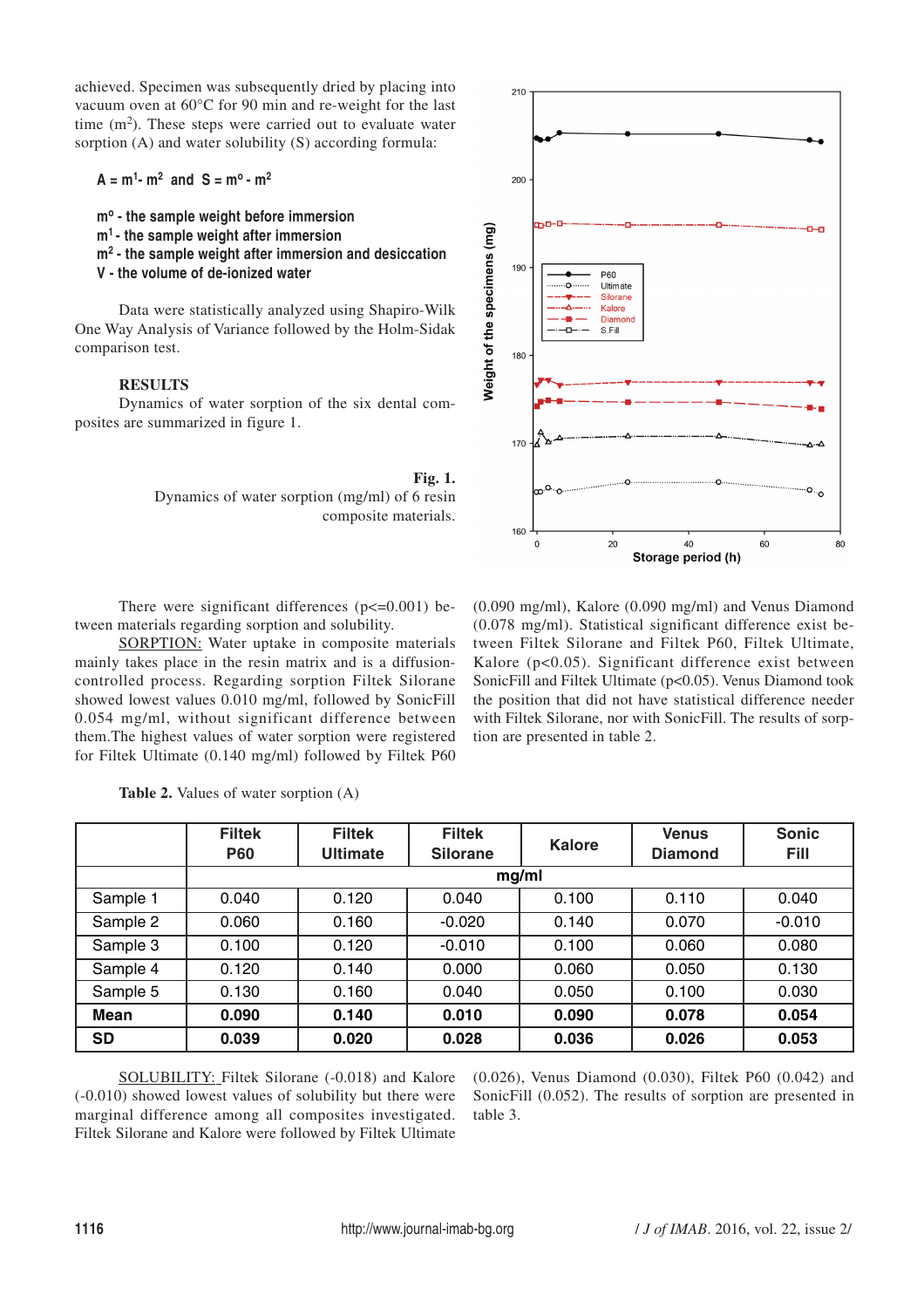achieved. Specimen was subsequently dried by placing into vacuum oven at 60°C for 90 min and re-weight for the last time  $(m<sup>2</sup>)$ . These steps were carried out to evaluate water sorption (A) and water solubility (S) according formula:

 $A = m<sup>1</sup>$  **-**  $m<sup>2</sup>$  and  $S = m<sup>o</sup>$  **-**  $m<sup>2</sup>$ 

- **mo the sample weight before immersion**
- **m1 the sample weight after immersion**
- **m2 the sample weight after immersion and desiccation**
- **V the volume of de-ionized water**

Data were statistically analyzed using Shapiro-Wilk One Way Analysis of Variance followed by the Holm-Sidak comparison test.

# **RESULTS**

Dynamics of water sorption of the six dental composites are summarized in figure 1.

> **Fig. 1.** Dynamics of water sorption (mg/ml) of 6 resin composite materials.

There were significant differences  $(p \le 0.001)$  between materials regarding sorption and solubility.

SORPTION: Water uptake in composite materials mainly takes place in the resin matrix and is a diffusioncontrolled process. Regarding sorption Filtek Silorane showed lowest values 0.010 mg/ml, followed by SonicFill 0.054 mg/ml, without significant difference between them.The highest values of water sorption were registered for Filtek Ultimate (0.140 mg/ml) followed by Filtek P60

(0.090 mg/ml), Kalore (0.090 mg/ml) and Venus Diamond (0.078 mg/ml). Statistical significant difference exist between Filtek Silorane and Filtek P60, Filtek Ultimate, Kalore (p<0.05). Significant difference exist between SonicFill and Filtek Ultimate (p<0.05). Venus Diamond took the position that did not have statistical difference needer with Filtek Silorane, nor with SonicFill. The results of sorption are presented in table 2.

|           | <b>Filtek</b><br><b>P60</b> | <b>Filtek</b><br><b>Ultimate</b> | <b>Filtek</b><br><b>Silorane</b> | <b>Kalore</b> | <b>Venus</b><br><b>Diamond</b> | <b>Sonic</b><br>Fill |  |  |
|-----------|-----------------------------|----------------------------------|----------------------------------|---------------|--------------------------------|----------------------|--|--|
|           | mg/ml                       |                                  |                                  |               |                                |                      |  |  |
| Sample 1  | 0.040                       | 0.120                            | 0.040                            | 0.100         | 0.110                          | 0.040                |  |  |
| Sample 2  | 0.060                       | 0.160                            | $-0.020$                         | 0.140         | 0.070                          | $-0.010$             |  |  |
| Sample 3  | 0.100                       | 0.120                            | $-0.010$                         | 0.100         | 0.060                          | 0.080                |  |  |
| Sample 4  | 0.120                       | 0.140                            | 0.000                            | 0.060         | 0.050                          | 0.130                |  |  |
| Sample 5  | 0.130                       | 0.160                            | 0.040                            | 0.050         | 0.100                          | 0.030                |  |  |
| Mean      | 0.090                       | 0.140                            | 0.010                            | 0.090         | 0.078                          | 0.054                |  |  |
| <b>SD</b> | 0.039                       | 0.020                            | 0.028                            | 0.036         | 0.026                          | 0.053                |  |  |

**Table 2.** Values of water sorption (A)

SOLUBILITY: Filtek Silorane (-0.018) and Kalore (-0.010) showed lowest values of solubility but there were marginal difference among all composites investigated. Filtek Silorane and Kalore were followed by Filtek Ultimate

(0.026), Venus Diamond (0.030), Filtek P60 (0.042) and SonicFill (0.052). The results of sorption are presented in table 3.



210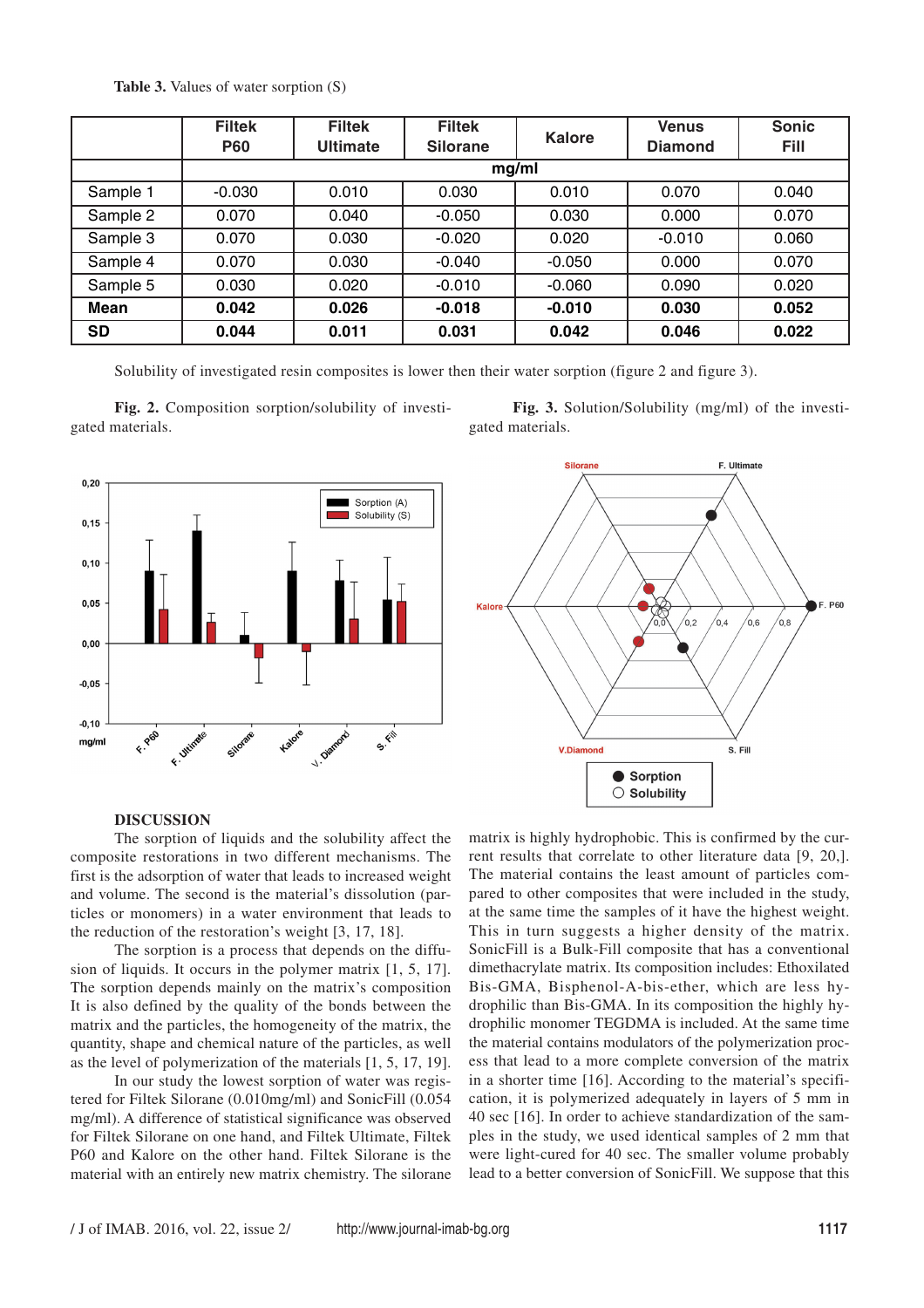**Table 3.** Values of water sorption (S)

|           | <b>Filtek</b><br><b>P60</b> | <b>Filtek</b><br><b>Ultimate</b> | <b>Filtek</b><br><b>Silorane</b> | Kalore   | <b>Venus</b><br><b>Diamond</b> | <b>Sonic</b><br>Fill |  |  |
|-----------|-----------------------------|----------------------------------|----------------------------------|----------|--------------------------------|----------------------|--|--|
|           | mg/ml                       |                                  |                                  |          |                                |                      |  |  |
| Sample 1  | $-0.030$                    | 0.010                            | 0.030                            | 0.010    | 0.070                          | 0.040                |  |  |
| Sample 2  | 0.070                       | 0.040                            | $-0.050$                         | 0.030    | 0.000                          | 0.070                |  |  |
| Sample 3  | 0.070                       | 0.030                            | $-0.020$                         | 0.020    | $-0.010$                       | 0.060                |  |  |
| Sample 4  | 0.070                       | 0.030                            | $-0.040$                         | $-0.050$ | 0.000                          | 0.070                |  |  |
| Sample 5  | 0.030                       | 0.020                            | $-0.010$                         | $-0.060$ | 0.090                          | 0.020                |  |  |
| Mean      | 0.042                       | 0.026                            | $-0.018$                         | $-0.010$ | 0.030                          | 0.052                |  |  |
| <b>SD</b> | 0.044                       | 0.011                            | 0.031                            | 0.042    | 0.046                          | 0.022                |  |  |

Solubility of investigated resin composites is lower then their water sorption (figure 2 and figure 3).

**Fig. 2.** Composition sorption/solubility of investigated materials.

**Fig. 3.** Solution/Solubility (mg/ml) of the investigated materials.





#### **DISCUSSION**

The sorption of liquids and the solubility affect the composite restorations in two different mechanisms. The first is the adsorption of water that leads to increased weight and volume. The second is the material's dissolution (particles or monomers) in a water environment that leads to the reduction of the restoration's weight [3, 17, 18].

The sorption is a process that depends on the diffusion of liquids. It occurs in the polymer matrix [1, 5, 17]. The sorption depends mainly on the matrix's composition It is also defined by the quality of the bonds between the matrix and the particles, the homogeneity of the matrix, the quantity, shape and chemical nature of the particles, as well as the level of polymerization of the materials [1, 5, 17, 19].

In our study the lowest sorption of water was registered for Filtek Silorane (0.010mg/ml) and SonicFill (0.054 mg/ml). A difference of statistical significance was observed for Filtek Silorane on one hand, and Filtek Ultimate, Filtek P60 and Kalore on the other hand. Filtek Silorane is the material with an entirely new matrix chemistry. The silorane matrix is highly hydrophobic. This is confirmed by the current results that correlate to other literature data [9, 20,]. The material contains the least amount of particles compared to other composites that were included in the study, at the same time the samples of it have the highest weight. This in turn suggests a higher density of the matrix. SonicFill is a Bulk-Fill composite that has a conventional dimethacrylate matrix. Its composition includes: Ethoxilated Bis-GMA, Bisphenol-A-bis-ether, which are less hydrophilic than Bis-GMA. In its composition the highly hydrophilic monomer TEGDMA is included. At the same time the material contains modulators of the polymerization process that lead to a more complete conversion of the matrix in a shorter time [16]. According to the material's specification, it is polymerized adequately in layers of 5 mm in 40 sec [16]. In order to achieve standardization of the samples in the study, we used identical samples of 2 mm that were light-cured for 40 sec. The smaller volume probably lead to a better conversion of SonicFill. We suppose that this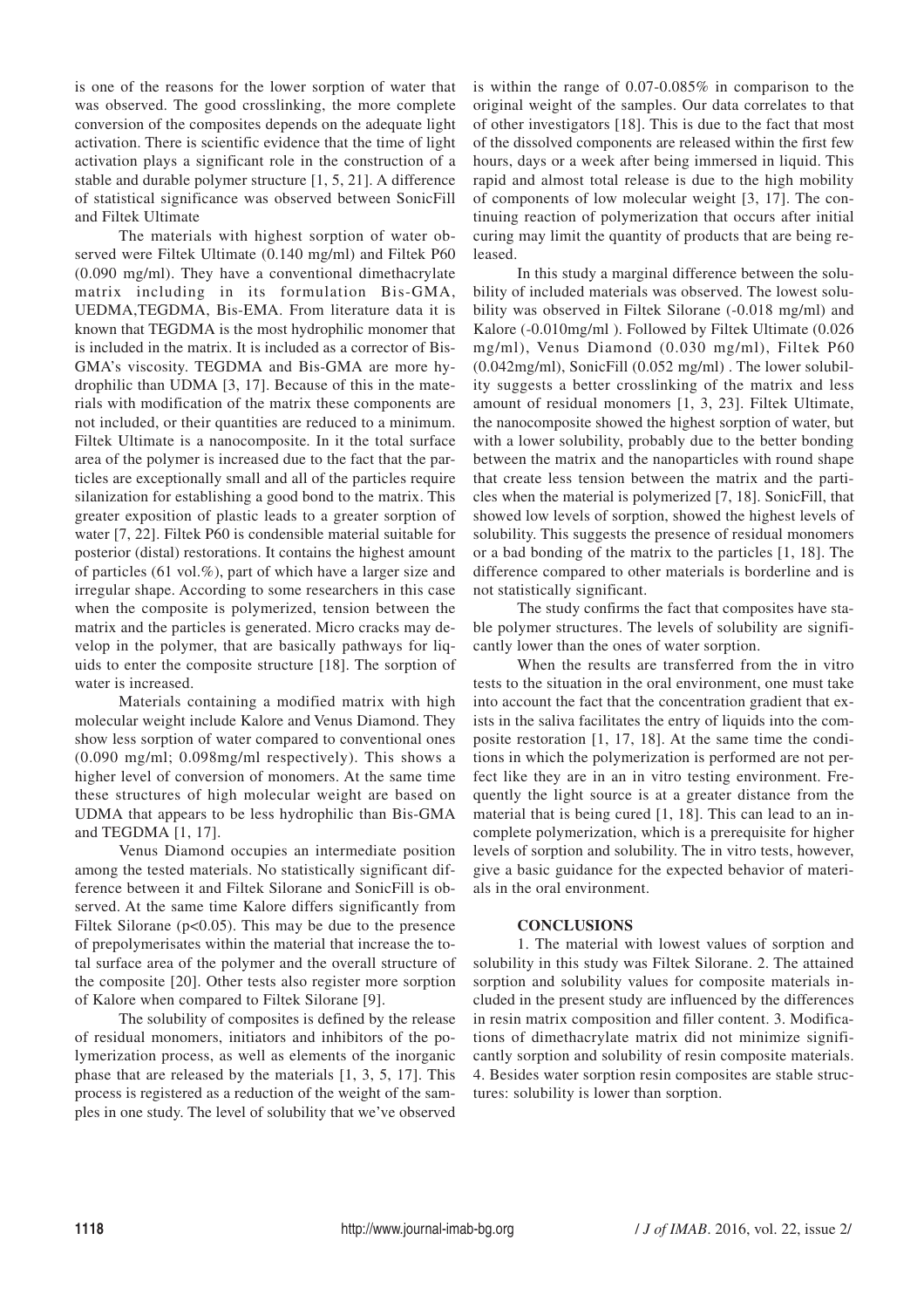is one of the reasons for the lower sorption of water that was observed. The good crosslinking, the more complete conversion of the composites depends on the adequate light activation. There is scientific evidence that the time of light activation plays a significant role in the construction of a stable and durable polymer structure [1, 5, 21]. A difference of statistical significance was observed between SonicFill and Filtek Ultimate

The materials with highest sorption of water observed were Filtek Ultimate (0.140 mg/ml) and Filtek P60 (0.090 mg/ml). They have a conventional dimethacrylate matrix including in its formulation Bis-GMA, UEDMA,TEGDMA, Bis-EMA. From literature data it is known that TEGDMA is the most hydrophilic monomer that is included in the matrix. It is included as a corrector of Bis-GMA's viscosity. TEGDMA and Bis-GMA are more hydrophilic than UDMA [3, 17]. Because of this in the materials with modification of the matrix these components are not included, or their quantities are reduced to a minimum. Filtek Ultimate is a nanocomposite. In it the total surface area of the polymer is increased due to the fact that the particles are exceptionally small and all of the particles require silanization for establishing a good bond to the matrix. This greater exposition of plastic leads to a greater sorption of water [7, 22]. Filtek P60 is condensible material suitable for posterior (distal) restorations. It contains the highest amount of particles (61 vol.%), part of which have a larger size and irregular shape. According to some researchers in this case when the composite is polymerized, tension between the matrix and the particles is generated. Micro cracks may develop in the polymer, that are basically pathways for liquids to enter the composite structure [18]. The sorption of water is increased.

Materials containing a modified matrix with high molecular weight include Kalore and Venus Diamond. They show less sorption of water compared to conventional ones (0.090 mg/ml; 0.098mg/ml respectively). This shows a higher level of conversion of monomers. At the same time these structures of high molecular weight are based on UDMA that appears to be less hydrophilic than Bis-GMA and TEGDMA [1, 17].

Venus Diamond occupies an intermediate position among the tested materials. No statistically significant difference between it and Filtek Silorane and SonicFill is observed. At the same time Kalore differs significantly from Filtek Silorane ( $p<0.05$ ). This may be due to the presence of prepolymerisates within the material that increase the total surface area of the polymer and the overall structure of the composite [20]. Other tests also register more sorption of Kalore when compared to Filtek Silorane [9].

The solubility of composites is defined by the release of residual monomers, initiators and inhibitors of the polymerization process, as well as elements of the inorganic phase that are released by the materials [1, 3, 5, 17]. This process is registered as a reduction of the weight of the samples in one study. The level of solubility that we've observed

is within the range of 0.07-0.085% in comparison to the original weight of the samples. Our data correlates to that of other investigators [18]. This is due to the fact that most of the dissolved components are released within the first few hours, days or a week after being immersed in liquid. This rapid and almost total release is due to the high mobility of components of low molecular weight [3, 17]. The continuing reaction of polymerization that occurs after initial curing may limit the quantity of products that are being released.

In this study a marginal difference between the solubility of included materials was observed. The lowest solubility was observed in Filtek Silorane (-0.018 mg/ml) and Kalore (-0.010mg/ml ). Followed by Filtek Ultimate (0.026 mg/ml), Venus Diamond (0.030 mg/ml), Filtek P60 (0.042mg/ml), SonicFill (0.052 mg/ml) . The lower solubility suggests a better crosslinking of the matrix and less amount of residual monomers [1, 3, 23]. Filtek Ultimate, the nanocomposite showed the highest sorption of water, but with a lower solubility, probably due to the better bonding between the matrix and the nanoparticles with round shape that create less tension between the matrix and the particles when the material is polymerized [7, 18]. SonicFill, that showed low levels of sorption, showed the highest levels of solubility. This suggests the presence of residual monomers or a bad bonding of the matrix to the particles [1, 18]. The difference compared to other materials is borderline and is not statistically significant.

The study confirms the fact that composites have stable polymer structures. The levels of solubility are significantly lower than the ones of water sorption.

When the results are transferred from the in vitro tests to the situation in the oral environment, one must take into account the fact that the concentration gradient that exists in the saliva facilitates the entry of liquids into the composite restoration [1, 17, 18]. At the same time the conditions in which the polymerization is performed are not perfect like they are in an in vitro testing environment. Frequently the light source is at a greater distance from the material that is being cured [1, 18]. This can lead to an incomplete polymerization, which is a prerequisite for higher levels of sorption and solubility. The in vitro tests, however, give a basic guidance for the expected behavior of materials in the oral environment.

### **CONCLUSIONS**

1. The material with lowest values of sorption and solubility in this study was Filtek Silorane. 2. The attained sorption and solubility values for composite materials included in the present study are influenced by the differences in resin matrix composition and filler content. 3. Modifications of dimethacrylate matrix did not minimize significantly sorption and solubility of resin composite materials. 4. Besides water sorption resin composites are stable structures: solubility is lower than sorption.